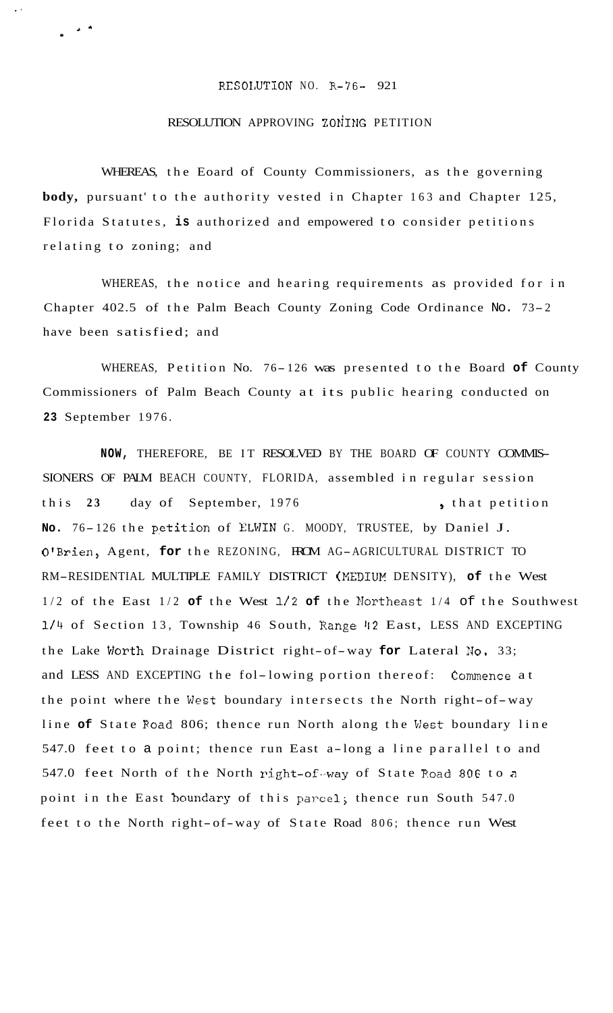## RESOLUTION NO. R-76- 921

..

 $\mathbf{r}$ 

## RESOLUTION APPROVING ZONING PETITION

WHEREAS, the Eoard of County Commissioners, as the governing **body,** pursuant' to the authority vested in Chapter 163 and Chapter 125, Florida Statutes, **is** authorized and empowered to consider petitions relating to zoning; and

WHEREAS, the notice and hearing requirements as provided for in Chapter 402.5 of the Palm Beach County Zoning Code Ordinance No. 73-2 have been satisfied; and

WHEREAS, Petition No. 76- 126 was presented to the Board **of** County Commissioners of Palm Beach County at its public hearing conducted on **23** September 1976.

**NOW,** THEREFORE, BE IT RESOLVED BY THE BOARD OF COUNTY COMMIS-SIONERS OF PALM BEACH COUNTY, FLORIDA, assembled in regular session this 23 day of September, 1976 , that petition No. 76-126 the petition of ELWIN G. MOODY, TRUSTEE, by Daniel J. O'Brien, Agent, **for** the REZONING, FROM AG-AGRICULTURAL DISTRICT TO RM-RESIDENTIAL MULTIPLE FAMILY DISTRICT (MEDIUM DENSITY), of the West 1/2 of the East 1/2 of the West 1/2 of the Northeast 1/4 of the Southwest 1/4 of Section 13, Township 46 South, Range 42 East, LESS AND EXCEPTING the Lake Worth Drainage District right-of-way **for** Lateral **No.** 33; and LESS AND EXCEPTING the fol-lowing portion thereof: Commence at the point where the West boundary intersects the North right-of-way line **of** State Road 806; thence run North along the West boundary line 547.0 feet to a point; thence run East a-long a line parallel to and 547.0 feet North of the North right-of-way of State Road 806 to a point in the East boundary of this parcel; thence run South 547.0 feet to the North right-of-way of State Road 806; thence run West